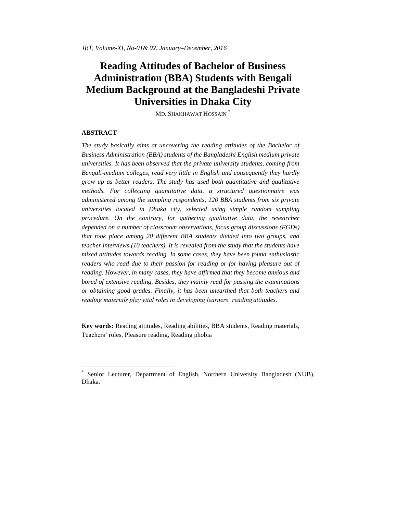# **Reading Attitudes of Bachelor of Business Administration (BBA) Students with Bengali Medium Background at the Bangladeshi Private Universities in Dhaka City**

MD. SHAKHAWAT HOSSAIN \*

# **ABSTRACT**

 $\overline{a}$ 

*The study basically aims at uncovering the reading attitudes of the Bachelor of Business Administration (BBA) students of the Bangladeshi English medium private universities. It has been observed that the private university students, coming from Bengali-medium colleges, read very little in English and consequently they hardly grow up as better readers. The study has used both quantitative and qualitative methods. For collecting quantitative data, a structured questionnaire was administered among the sampling respondents, 120 BBA students from six private universities located in Dhaka city, selected using simple random sampling procedure. On the contrary, for gathering qualitative data, the researcher depended on a number of classroom observations, focus group discussions (FGDs) that took place among 20 different BBA students divided into two groups, and teacher interviews (10 teachers). It is revealed from the study that the students have mixed attitudes towards reading. In some cases, they have been found enthusiastic*  readers who read due to their passion for reading or for having pleasure out of *reading. However, in many cases, they have affirmed that they become anxious and bored of extensive reading. Besides, they mainly read for passing the examinations or obtaining good grades. Finally, it has been unearthed that both teachers and reading materials play vital roles in developing learners' reading attitudes.*

**Key words:** Reading attitudes, Reading abilities, BBA students, Reading materials, Teachers' roles, Pleasure reading, Reading phobia

<sup>\*</sup> Senior Lecturer, Department of English, Northern University Bangladesh (NUB), Dhaka.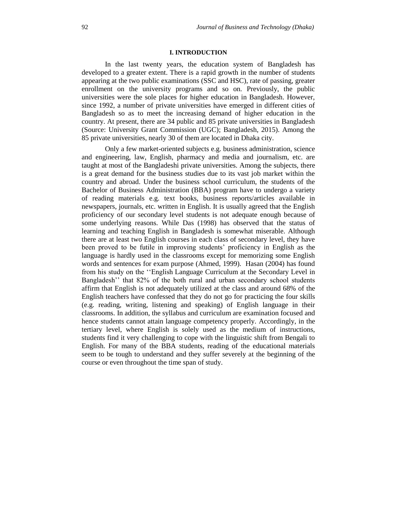# **I. INTRODUCTION**

In the last twenty years, the education system of Bangladesh has developed to a greater extent. There is a rapid growth in the number of students appearing at the two public examinations (SSC and HSC), rate of passing, greater enrollment on the university programs and so on. Previously, the public universities were the sole places for higher education in Bangladesh. However, since 1992, a number of private universities have emerged in different cities of Bangladesh so as to meet the increasing demand of higher education in the country. At present, there are 34 public and 85 private universities in Bangladesh (Source: University Grant Commission (UGC); Bangladesh, 2015). Among the 85 private universities, nearly 30 of them are located in Dhaka city.

Only a few market-oriented subjects e.g. business administration, science and engineering, law, English, pharmacy and media and journalism, etc. are taught at most of the Bangladeshi private universities. Among the subjects, there is a great demand for the business studies due to its vast job market within the country and abroad. Under the business school curriculum, the students of the Bachelor of Business Administration (BBA) program have to undergo a variety of reading materials e.g. text books, business reports/articles available in newspapers, journals, etc. written in English. It is usually agreed that the English proficiency of our secondary level students is not adequate enough because of some underlying reasons. While Das (1998) has observed that the status of learning and teaching English in Bangladesh is somewhat miserable. Although there are at least two English courses in each class of secondary level, they have been proved to be futile in improving students' proficiency in English as the language is hardly used in the classrooms except for memorizing some English words and sentences for exam purpose (Ahmed, 1999). Hasan (2004) has found from his study on the ''English Language Curriculum at the Secondary Level in Bangladesh'' that 82% of the both rural and urban secondary school students affirm that English is not adequately utilized at the class and around 68% of the English teachers have confessed that they do not go for practicing the four skills (e.g. reading, writing, listening and speaking) of English language in their classrooms. In addition, the syllabus and curriculum are examination focused and hence students cannot attain language competency properly. Accordingly, in the tertiary level, where English is solely used as the medium of instructions, students find it very challenging to cope with the linguistic shift from Bengali to English. For many of the BBA students, reading of the educational materials seem to be tough to understand and they suffer severely at the beginning of the course or even throughout the time span of study.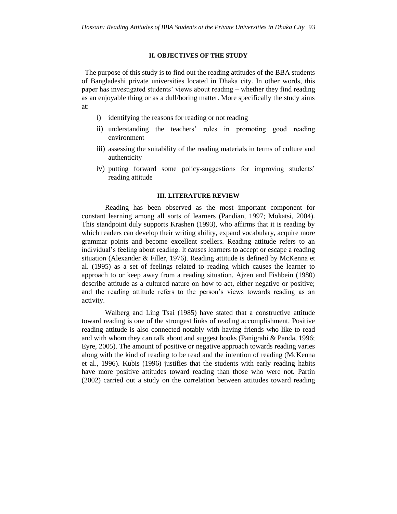#### **II. OBJECTIVES OF THE STUDY**

The purpose of this study is to find out the reading attitudes of the BBA students of Bangladeshi private universities located in Dhaka city. In other words, this paper has investigated students' views about reading – whether they find reading as an enjoyable thing or as a dull/boring matter. More specifically the study aims at:

- i) identifying the reasons for reading or not reading
- ii) understanding the teachers' roles in promoting good reading environment
- iii) assessing the suitability of the reading materials in terms of culture and authenticity
- iv) putting forward some policy-suggestions for improving students' reading attitude

#### **III. LITERATURE REVIEW**

Reading has been observed as the most important component for constant learning among all sorts of learners (Pandian, 1997; Mokatsi, 2004). This standpoint duly supports Krashen (1993), who affirms that it is reading by which readers can develop their writing ability, expand vocabulary, acquire more grammar points and become excellent spellers. Reading attitude refers to an individual's feeling about reading. It causes learners to accept or escape a reading situation (Alexander & Filler, 1976). Reading attitude is defined by McKenna et al. (1995) as a set of feelings related to reading which causes the learner to approach to or keep away from a reading situation. Ajzen and Fishbein (1980) describe attitude as a cultured nature on how to act, either negative or positive; and the reading attitude refers to the person's views towards reading as an activity.

Walberg and Ling Tsai (1985) have stated that a constructive attitude toward reading is one of the strongest links of reading accomplishment. Positive reading attitude is also connected notably with having friends who like to read and with whom they can talk about and suggest books (Panigrahi & Panda, 1996; Eyre, 2005). The amount of positive or negative approach towards reading varies along with the kind of reading to be read and the intention of reading (McKenna et al., 1996). Kubis (1996) justifies that the students with early reading habits have more positive attitudes toward reading than those who were not. Partin (2002) carried out a study on the correlation between attitudes toward reading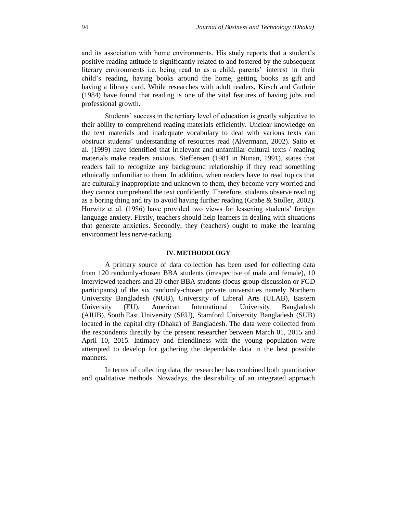and its association with home environments. His study reports that a student's positive reading attitude is significantly related to and fostered by the subsequent literary environments i.e. being read to as a child, parents' interest in their child's reading, having books around the home, getting books as gift and having a library card. While researches with adult readers, Kirsch and Guthrie (1984) have found that reading is one of the vital features of having jobs and professional growth.

Students' success in the tertiary level of education is greatly subjective to their ability to comprehend reading materials efficiently. Unclear knowledge on the text materials and inadequate vocabulary to deal with various texts can obstruct students' understanding of resources read (Alvermann, 2002). Saito et al. (1999) have identified that irrelevant and unfamiliar cultural texts / reading materials make readers anxious. Steffensen (1981 in Nunan, 1991), states that readers fail to recognize any background relationship if they read something ethnically unfamiliar to them. In addition, when readers have to read topics that are culturally inappropriate and unknown to them, they become very worried and they cannot comprehend the text confidently. Therefore, students observe reading as a boring thing and try to avoid having further reading (Grabe & Stoller, 2002). Horwitz et al. (1986) have provided two views for lessening students' foreign language anxiety. Firstly, teachers should help learners in dealing with situations that generate anxieties. Secondly, they (teachers) ought to make the learning environment less nerve-racking.

#### **IV. METHODOLOGY**

A primary source of data collection has been used for collecting data from 120 randomly-chosen BBA students (irrespective of male and female), 10 interviewed teachers and 20 other BBA students (focus group discussion or FGD participants) of the six randomly-chosen private universities namely Northern University Bangladesh (NUB), University of Liberal Arts (ULAB), Eastern University (EU), American International University Bangladesh (AIUB), South East University (SEU), Stamford University Bangladesh (SUB) located in the capital city (Dhaka) of Bangladesh. The data were collected from the respondents directly by the present researcher between March 01, 2015 and April 10, 2015. Intimacy and friendliness with the young population were attempted to develop for gathering the dependable data in the best possible manners.

In terms of collecting data, the researcher has combined both quantitative and qualitative methods. Nowadays, the desirability of an integrated approach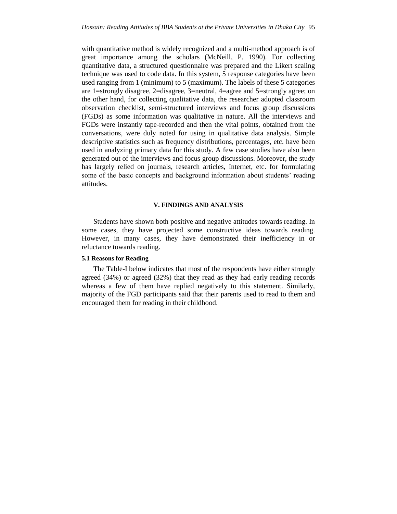with quantitative method is widely recognized and a multi-method approach is of great importance among the scholars (McNeill, P. 1990). For collecting quantitative data, a structured questionnaire was prepared and the Likert scaling technique was used to code data. In this system, 5 response categories have been used ranging from 1 (minimum) to 5 (maximum). The labels of these 5 categories are 1=strongly disagree, 2=disagree, 3=neutral, 4=agree and 5=strongly agree; on the other hand, for collecting qualitative data, the researcher adopted classroom observation checklist, semi-structured interviews and focus group discussions (FGDs) as some information was qualitative in nature. All the interviews and FGDs were instantly tape-recorded and then the vital points, obtained from the conversations, were duly noted for using in qualitative data analysis. Simple descriptive statistics such as frequency distributions, percentages, etc. have been used in analyzing primary data for this study. A few case studies have also been generated out of the interviews and focus group discussions. Moreover, the study has largely relied on journals, research articles, Internet, etc. for formulating some of the basic concepts and background information about students' reading attitudes.

# **V. FINDINGS AND ANALYSIS**

Students have shown both positive and negative attitudes towards reading. In some cases, they have projected some constructive ideas towards reading. However, in many cases, they have demonstrated their inefficiency in or reluctance towards reading.

#### **5.1 Reasons for Reading**

The Table-I below indicates that most of the respondents have either strongly agreed (34%) or agreed (32%) that they read as they had early reading records whereas a few of them have replied negatively to this statement. Similarly, majority of the FGD participants said that their parents used to read to them and encouraged them for reading in their childhood.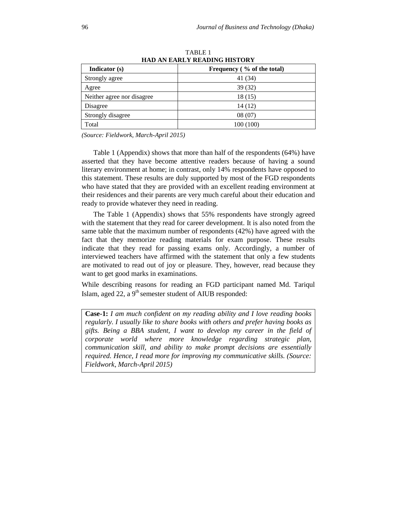| HAD AN EARLY READING HISTORY |                            |  |
|------------------------------|----------------------------|--|
| Indicator (s)                | Frequency (% of the total) |  |
| Strongly agree               | 41 (34)                    |  |
| Agree                        | 39 (32)                    |  |
| Neither agree nor disagree   | 18 (15)                    |  |
| Disagree                     | 14 (12)                    |  |
| Strongly disagree            | 08(07)                     |  |
| Total                        | 100 (100)                  |  |

TABLE 1 **HAD AN EARLY READING HISTORY**

*(Source: Fieldwork, March-April 2015)*

Table 1 (Appendix) shows that more than half of the respondents (64%) have asserted that they have become attentive readers because of having a sound literary environment at home; in contrast, only 14% respondents have opposed to this statement. These results are duly supported by most of the FGD respondents who have stated that they are provided with an excellent reading environment at their residences and their parents are very much careful about their education and ready to provide whatever they need in reading.

The Table 1 (Appendix) shows that 55% respondents have strongly agreed with the statement that they read for career development. It is also noted from the same table that the maximum number of respondents (42%) have agreed with the fact that they memorize reading materials for exam purpose. These results indicate that they read for passing exams only. Accordingly, a number of interviewed teachers have affirmed with the statement that only a few students are motivated to read out of joy or pleasure. They, however, read because they want to get good marks in examinations.

While describing reasons for reading an FGD participant named Md. Tariqul Islam, aged 22, a  $9<sup>th</sup>$  semester student of AIUB responded:

**Case-1:** *I am much confident on my reading ability and I love reading books regularly. I usually like to share books with others and prefer having books as gifts. Being a BBA student, I want to develop my career in the field of corporate world where more knowledge regarding strategic plan, communication skill, and ability to make prompt decisions are essentially required. Hence, I read more for improving my communicative skills. (Source: Fieldwork, March-April 2015)*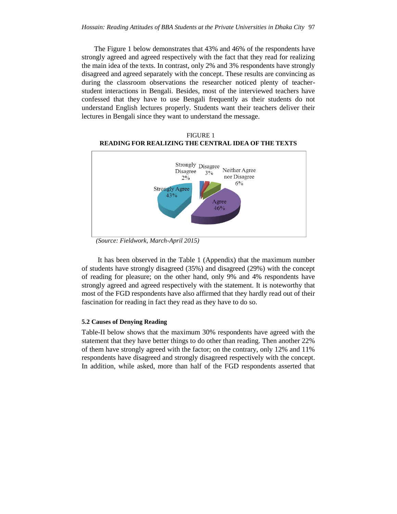The Figure 1 below demonstrates that 43% and 46% of the respondents have strongly agreed and agreed respectively with the fact that they read for realizing the main idea of the texts. In contrast, only 2% and 3% respondents have strongly disagreed and agreed separately with the concept. These results are convincing as during the classroom observations the researcher noticed plenty of teacherstudent interactions in Bengali. Besides, most of the interviewed teachers have confessed that they have to use Bengali frequently as their students do not understand English lectures properly. Students want their teachers deliver their lectures in Bengali since they want to understand the message.

 FIGURE 1 **READING FOR REALIZING THE CENTRAL IDEA OF THE TEXTS**



*(Source: Fieldwork, March-April 2015)*

 It has been observed in the Table 1 (Appendix) that the maximum number of students have strongly disagreed (35%) and disagreed (29%) with the concept of reading for pleasure; on the other hand, only 9% and 4% respondents have strongly agreed and agreed respectively with the statement. It is noteworthy that most of the FGD respondents have also affirmed that they hardly read out of their fascination for reading in fact they read as they have to do so.

#### **5.2 Causes of Denying Reading**

Table-II below shows that the maximum 30% respondents have agreed with the statement that they have better things to do other than reading. Then another 22% of them have strongly agreed with the factor; on the contrary, only 12% and 11% respondents have disagreed and strongly disagreed respectively with the concept. In addition, while asked, more than half of the FGD respondents asserted that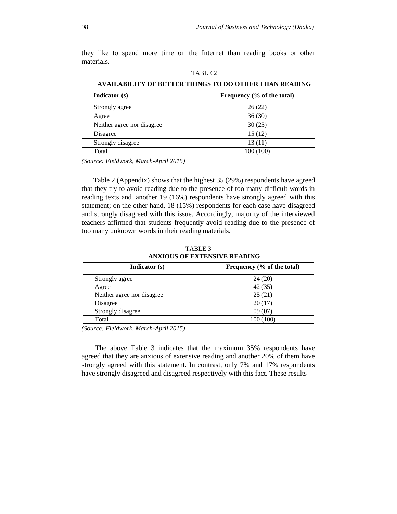they like to spend more time on the Internet than reading books or other materials.

| Indicator (s)              | Frequency (% of the total) |  |
|----------------------------|----------------------------|--|
| Strongly agree             | 26(22)                     |  |
| Agree                      | 36(30)                     |  |
| Neither agree nor disagree | 30(25)                     |  |
| Disagree                   | 15(12)                     |  |
| Strongly disagree          | 13(11)                     |  |
| Total                      | 100 (100)                  |  |

**AVAILABILITY OF BETTER THINGS TO DO OTHER THAN READING**

*(Source: Fieldwork, March-April 2015)*

Table 2 (Appendix) shows that the highest 35 (29%) respondents have agreed that they try to avoid reading due to the presence of too many difficult words in reading texts and another 19 (16%) respondents have strongly agreed with this statement; on the other hand, 18 (15%) respondents for each case have disagreed and strongly disagreed with this issue. Accordingly, majority of the interviewed teachers affirmed that students frequently avoid reading due to the presence of too many unknown words in their reading materials.

| Indicator (s)              | Frequency (% of the total) |
|----------------------------|----------------------------|
| Strongly agree             | 24(20)                     |
| Agree                      | 42(35)                     |
| Neither agree nor disagree | 25(21)                     |
| Disagree                   | 20(17)                     |
| Strongly disagree          | 09(07)                     |
| Total                      | 100 (100)                  |

TABLE 3 **ANXIOUS OF EXTENSIVE READING**

*(Source: Fieldwork, March-April 2015)*

 The above Table 3 indicates that the maximum 35% respondents have agreed that they are anxious of extensive reading and another 20% of them have strongly agreed with this statement. In contrast, only 7% and 17% respondents have strongly disagreed and disagreed respectively with this fact. These results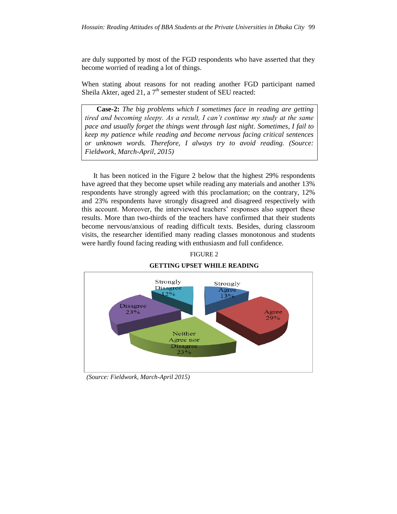are duly supported by most of the FGD respondents who have asserted that they become worried of reading a lot of things.

When stating about reasons for not reading another FGD participant named Sheila Akter, aged 21, a  $7<sup>th</sup>$  semester student of SEU reacted:

**Case-2:** *The big problems which I sometimes face in reading are getting tired and becoming sleepy. As a result, I can't continue my study at the same pace and usually forget the things went through last night. Sometimes, I fail to keep my patience while reading and become nervous facing critical sentences or unknown words. Therefore, I always try to avoid reading. (Source: Fieldwork, March-April, 2015)*

It has been noticed in the Figure 2 below that the highest 29% respondents have agreed that they become upset while reading any materials and another 13% respondents have strongly agreed with this proclamation; on the contrary, 12% and 23% respondents have strongly disagreed and disagreed respectively with this account. Moreover, the interviewed teachers' responses also support these results. More than two-thirds of the teachers have confirmed that their students become nervous/anxious of reading difficult texts. Besides, during classroom visits, the researcher identified many reading classes monotonous and students were hardly found facing reading with enthusiasm and full confidence.



FIGURE 2 **GETTING UPSET WHILE READING**

 *(Source: Fieldwork, March-April 2015)*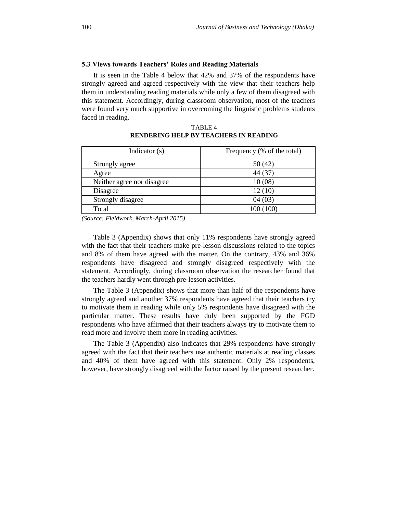## **5.3 Views towards Teachers' Roles and Reading Materials**

It is seen in the Table 4 below that 42% and 37% of the respondents have strongly agreed and agreed respectively with the view that their teachers help them in understanding reading materials while only a few of them disagreed with this statement. Accordingly, during classroom observation, most of the teachers were found very much supportive in overcoming the linguistic problems students faced in reading.

| Indicator $(s)$            | Frequency (% of the total) |
|----------------------------|----------------------------|
| Strongly agree             | 50(42)                     |
| Agree                      | 44 (37)                    |
| Neither agree nor disagree | 10(08)                     |
| Disagree                   | 12(10)                     |
| Strongly disagree          | 04(03)                     |
| Total                      | 100(100)                   |

TABLE 4 **RENDERING HELP BY TEACHERS IN READING**

*(Source: Fieldwork, March-April 2015)*

Table 3 (Appendix) shows that only 11% respondents have strongly agreed with the fact that their teachers make pre-lesson discussions related to the topics and 8% of them have agreed with the matter. On the contrary, 43% and 36% respondents have disagreed and strongly disagreed respectively with the statement. Accordingly, during classroom observation the researcher found that the teachers hardly went through pre-lesson activities.

The Table 3 (Appendix) shows that more than half of the respondents have strongly agreed and another 37% respondents have agreed that their teachers try to motivate them in reading while only 5% respondents have disagreed with the particular matter. These results have duly been supported by the FGD respondents who have affirmed that their teachers always try to motivate them to read more and involve them more in reading activities.

The Table 3 (Appendix) also indicates that 29% respondents have strongly agreed with the fact that their teachers use authentic materials at reading classes and 40% of them have agreed with this statement. Only 2% respondents, however, have strongly disagreed with the factor raised by the present researcher.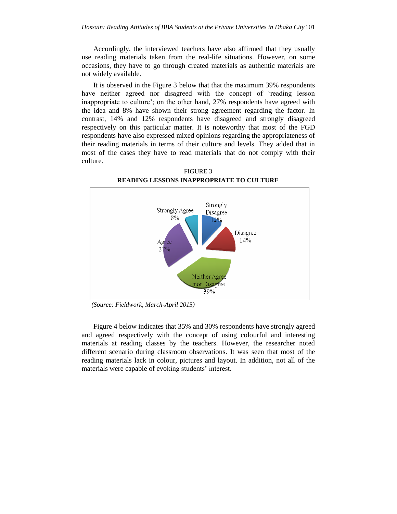Accordingly, the interviewed teachers have also affirmed that they usually use reading materials taken from the real-life situations. However, on some occasions, they have to go through created materials as authentic materials are not widely available.

It is observed in the Figure 3 below that that the maximum 39% respondents have neither agreed nor disagreed with the concept of 'reading lesson inappropriate to culture'; on the other hand, 27% respondents have agreed with the idea and 8% have shown their strong agreement regarding the factor. In contrast, 14% and 12% respondents have disagreed and strongly disagreed respectively on this particular matter. It is noteworthy that most of the FGD respondents have also expressed mixed opinions regarding the appropriateness of their reading materials in terms of their culture and levels. They added that in most of the cases they have to read materials that do not comply with their culture.



FIGURE 3 **READING LESSONS INAPPROPRIATE TO CULTURE**

 *(Source: Fieldwork, March-April 2015)*

Figure 4 below indicates that 35% and 30% respondents have strongly agreed and agreed respectively with the concept of using colourful and interesting materials at reading classes by the teachers. However, the researcher noted different scenario during classroom observations. It was seen that most of the reading materials lack in colour, pictures and layout. In addition, not all of the materials were capable of evoking students' interest.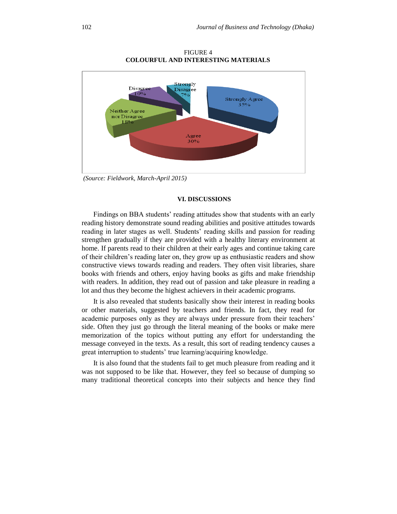FIGURE 4 **COLOURFUL AND INTERESTING MATERIALS**



*(Source: Fieldwork, March-April 2015)*

# **VI. DISCUSSIONS**

Findings on BBA students' reading attitudes show that students with an early reading history demonstrate sound reading abilities and positive attitudes towards reading in later stages as well. Students' reading skills and passion for reading strengthen gradually if they are provided with a healthy literary environment at home. If parents read to their children at their early ages and continue taking care of their children's reading later on, they grow up as enthusiastic readers and show constructive views towards reading and readers. They often visit libraries, share books with friends and others, enjoy having books as gifts and make friendship with readers. In addition, they read out of passion and take pleasure in reading a lot and thus they become the highest achievers in their academic programs.

It is also revealed that students basically show their interest in reading books or other materials, suggested by teachers and friends. In fact, they read for academic purposes only as they are always under pressure from their teachers' side. Often they just go through the literal meaning of the books or make mere memorization of the topics without putting any effort for understanding the message conveyed in the texts. As a result, this sort of reading tendency causes a great interruption to students' true learning/acquiring knowledge.

It is also found that the students fail to get much pleasure from reading and it was not supposed to be like that. However, they feel so because of dumping so many traditional theoretical concepts into their subjects and hence they find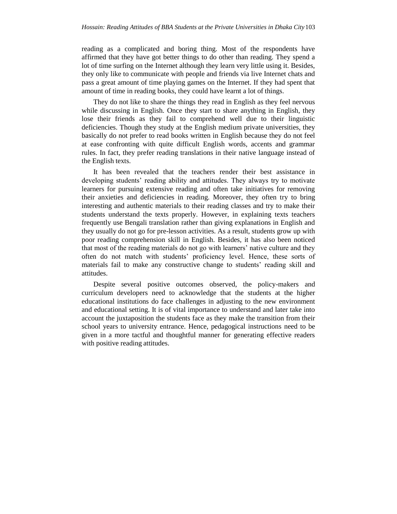reading as a complicated and boring thing. Most of the respondents have affirmed that they have got better things to do other than reading. They spend a lot of time surfing on the Internet although they learn very little using it. Besides, they only like to communicate with people and friends via live Internet chats and pass a great amount of time playing games on the Internet. If they had spent that amount of time in reading books, they could have learnt a lot of things.

They do not like to share the things they read in English as they feel nervous while discussing in English. Once they start to share anything in English, they lose their friends as they fail to comprehend well due to their linguistic deficiencies. Though they study at the English medium private universities, they basically do not prefer to read books written in English because they do not feel at ease confronting with quite difficult English words, accents and grammar rules. In fact, they prefer reading translations in their native language instead of the English texts.

It has been revealed that the teachers render their best assistance in developing students' reading ability and attitudes. They always try to motivate learners for pursuing extensive reading and often take initiatives for removing their anxieties and deficiencies in reading. Moreover, they often try to bring interesting and authentic materials to their reading classes and try to make their students understand the texts properly. However, in explaining texts teachers frequently use Bengali translation rather than giving explanations in English and they usually do not go for pre-lesson activities. As a result, students grow up with poor reading comprehension skill in English. Besides, it has also been noticed that most of the reading materials do not go with learners' native culture and they often do not match with students' proficiency level. Hence, these sorts of materials fail to make any constructive change to students' reading skill and attitudes.

Despite several positive outcomes observed, the policy-makers and curriculum developers need to acknowledge that the students at the higher educational institutions do face challenges in adjusting to the new environment and educational setting. It is of vital importance to understand and later take into account the juxtaposition the students face as they make the transition from their school years to university entrance. Hence, pedagogical instructions need to be given in a more tactful and thoughtful manner for generating effective readers with positive reading attitudes.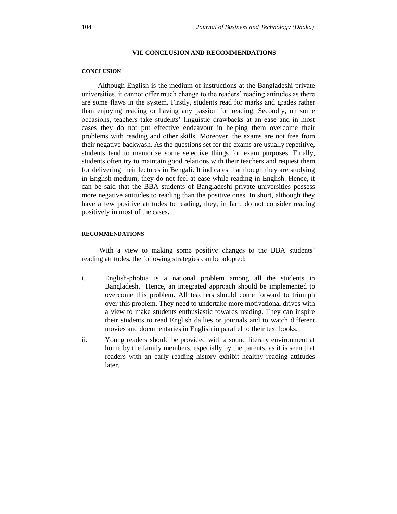## **VII. CONCLUSION AND RECOMMENDATIONS**

## **CONCLUSION**

Although English is the medium of instructions at the Bangladeshi private universities, it cannot offer much change to the readers' reading attitudes as there are some flaws in the system. Firstly, students read for marks and grades rather than enjoying reading or having any passion for reading. Secondly, on some occasions, teachers take students' linguistic drawbacks at an ease and in most cases they do not put effective endeavour in helping them overcome their problems with reading and other skills. Moreover, the exams are not free from their negative backwash. As the questions set for the exams are usually repetitive, students tend to memorize some selective things for exam purposes. Finally, students often try to maintain good relations with their teachers and request them for delivering their lectures in Bengali. It indicates that though they are studying in English medium, they do not feel at ease while reading in English. Hence, it can be said that the BBA students of Bangladeshi private universities possess more negative attitudes to reading than the positive ones. In short, although they have a few positive attitudes to reading, they, in fact, do not consider reading positively in most of the cases.

## **RECOMMENDATIONS**

 With a view to making some positive changes to the BBA students' reading attitudes, the following strategies can be adopted:

- i. English-phobia is a national problem among all the students in Bangladesh. Hence, an integrated approach should be implemented to overcome this problem. All teachers should come forward to triumph over this problem. They need to undertake more motivational drives with a view to make students enthusiastic towards reading. They can inspire their students to read English dailies or journals and to watch different movies and documentaries in English in parallel to their text books.
- ii. Young readers should be provided with a sound literary environment at home by the family members, especially by the parents, as it is seen that readers with an early reading history exhibit healthy reading attitudes later.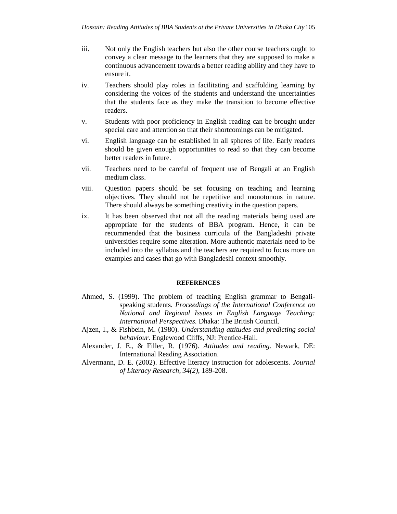- iii. Not only the English teachers but also the other course teachers ought to convey a clear message to the learners that they are supposed to make a continuous advancement towards a better reading ability and they have to ensure it.
- iv. Teachers should play roles in facilitating and scaffolding learning by considering the voices of the students and understand the uncertainties that the students face as they make the transition to become effective readers.
- v. Students with poor proficiency in English reading can be brought under special care and attention so that their shortcomings can be mitigated.
- vi. English language can be established in all spheres of life. Early readers should be given enough opportunities to read so that they can become better readers in future.
- vii. Teachers need to be careful of frequent use of Bengali at an English medium class.
- viii. Question papers should be set focusing on teaching and learning objectives. They should not be repetitive and monotonous in nature. There should always be something creativity in the question papers.
- ix. It has been observed that not all the reading materials being used are appropriate for the students of BBA program. Hence, it can be recommended that the business curricula of the Bangladeshi private universities require some alteration. More authentic materials need to be included into the syllabus and the teachers are required to focus more on examples and cases that go with Bangladeshi context smoothly.

#### **REFERENCES**

- Ahmed, S. (1999). The problem of teaching English grammar to Bengalispeaking students. *Proceedings of the International Conference on National and Regional Issues in English Language Teaching: International Perspectives.* Dhaka: The British Council.
- Ajzen, I., & Fishbein, M. (1980). *Understanding attitudes and predicting social behaviour.* Englewood Cliffs, NJ: Prentice-Hall.
- Alexander, J. E., & Filler, R. (1976). *Attitudes and reading.* Newark, DE: International Reading Association.
- Alvermann, D. E. (2002). Effective literacy instruction for adolescents. *Journal of Literacy Research*, *34(2)*, 189-208.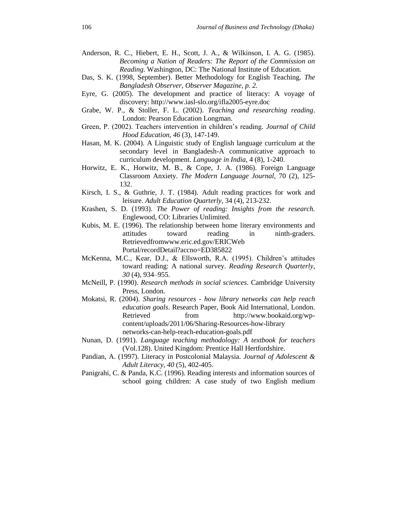- Anderson, R. C., Hiebert, E. H., Scott, J. A., & Wilkinson, I. A. G. (1985). *Becoming a Nation of Readers: The Report of the Commission on Reading*. Washington, DC: The National Institute of Education.
- Das, S. K. (1998, September). Better Methodology for English Teaching. *The Bangladesh Observer, Observer Magazine, p. 2.*
- Eyre, G. (2005). The development and practice of literacy: A voyage of discovery: http://www.iasl-slo.org/ifla2005-eyre.doc
- Grabe, W. P., & Stoller, F. L. (2002). *Teaching and researching reading*. London: Pearson Education Longman.
- Green, P. (2002). Teachers intervention in children's reading*. Journal of Child Hood Education, 46* (3), 147-149.
- Hasan, M. K. (2004). A Linguistic study of English language curriculum at the secondary level in Bangladesh*-*A communicative approach to curriculum development. *Language in India,* 4 (8), 1-240.
- Horwitz, E. K., Horwitz, M. B., & Cope, J. A. (1986). Foreign Language Classroom Anxiety. *The Modern Language Journal*, 70 (2), 125- 132.
- Kirsch, I. S., & Guthrie, J. T. (1984). Adult reading practices for work and leisure. *Adult Education Quarterly*, 34 (4), 213-232.
- Krashen, S. D. (1993). *The Power of reading: Insights from the research.*  Englewood, CO: Libraries Unlimited.
- Kubis, M. E. (1996). The relationship between home literary environments and attitudes toward reading in ninth-graders*.* Retrievedfromwww.eric.ed.gov/ERICWeb Portal/recordDetail?accno=ED385822
- McKenna, M.C., Kear, D.J., & Ellsworth, R.A. (1995). Children's attitudes toward reading: A national survey. *Reading Research Quarterly*, *30* (4), 934–955.
- McNeill, P. (1990). *Research methods in social sciences*. Cambridge University Press, London.
- Mokatsi, R. (2004). *Sharing resources - how library networks can help reach education goals*. Research Paper, Book Aid International, London. Retrieved from http://www.bookaid.org/wpcontent/uploads/2011/06/Sharing-Resources-how-library networks-can-help-reach-education-goals.pdf
- Nunan, D. (1991). *Language teaching methodology: A textbook for teachers* (Vol.128). United Kingdom: Prentice Hall Hertfordshire.
- Pandian, A. (1997). Literacy in Postcolonial Malaysia. *Journal of Adolescent & Adult Literacy, 40* (5), 402-405.
- Panigrahi, C. & Panda, K.C. (1996). Reading interests and information sources of school going children: A case study of two English medium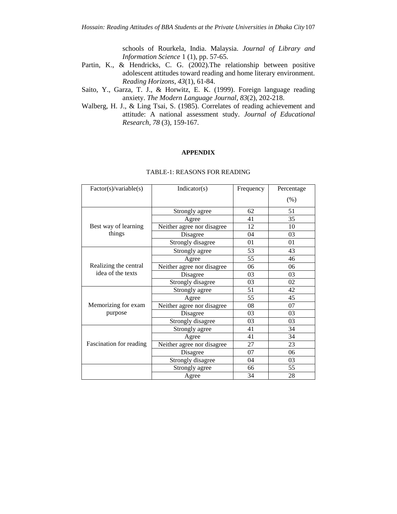schools of Rourkela, India. Malaysia. *Journal of Library and Information Science* 1 (1), pp. 57-65.

- Partin, K., & Hendricks, C. G. (2002).The relationship between positive adolescent attitudes toward reading and home literary environment. *Reading Horizons*, *43*(1), 61-84.
- Saito, Y., Garza, T. J., & Horwitz, E. K. (1999). Foreign language reading anxiety. *The Modern Language Journal*, *83*(2), 202-218.
- Walberg, H. J., & Ling Tsai, S. (1985). Correlates of reading achievement and attitude: A national assessment study. *Journal of Educational Research, 78* (3), 159-167.

#### **APPENDIX**

| Factor(s)/variable(s)   | Indication(s)              | Frequency | Percentage |
|-------------------------|----------------------------|-----------|------------|
|                         |                            |           | $(\% )$    |
|                         | Strongly agree             | 62        | 51         |
|                         | Agree                      | 41        | 35         |
| Best way of learning    | Neither agree nor disagree | 12        | 10         |
| things                  | Disagree                   | 04        | 03         |
|                         | Strongly disagree          | 01        | 01         |
|                         | Strongly agree             | 53        | 43         |
|                         | Agree                      | 55        | 46         |
| Realizing the central   | Neither agree nor disagree | 06        | 06         |
| idea of the texts       | Disagree                   | 03        | 03         |
|                         | Strongly disagree          | 03        | 02         |
|                         | Strongly agree             | 51        | 42         |
|                         | Agree                      | 55        | 45         |
| Memorizing for exam     | Neither agree nor disagree | 08        | 07         |
| purpose                 | Disagree                   | 03        | 03         |
|                         | Strongly disagree          | 03        | 03         |
|                         | Strongly agree             | 41        | 34         |
|                         | Agree                      | 41        | 34         |
| Fascination for reading | Neither agree nor disagree | 27        | 23         |
|                         | Disagree                   | 07        | 06         |
|                         | Strongly disagree          | 04        | 03         |
|                         | Strongly agree             | 66        | 55         |
|                         | Agree                      | 34        | 28         |

# TABLE-1: REASONS FOR READING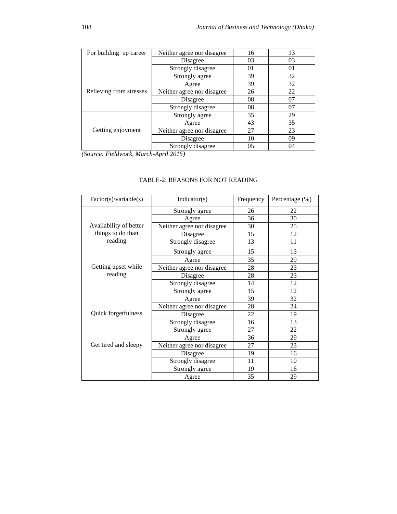| For building up career  | Neither agree nor disagree | 16 | 13 |
|-------------------------|----------------------------|----|----|
| Disagree                |                            | 03 | 03 |
|                         | Strongly disagree          | 01 | 01 |
|                         | Strongly agree             | 39 | 32 |
|                         | Agree                      | 39 | 32 |
| Relieving from stresses | Neither agree nor disagree | 26 | 22 |
|                         | Disagree                   | 08 | 07 |
|                         | Strongly disagree          | 08 | 07 |
|                         | Strongly agree             | 35 | 29 |
|                         | Agree                      | 43 | 35 |
| Getting enjoyment       | Neither agree nor disagree | 27 | 23 |
|                         | Disagree                   | 10 | 09 |
|                         | Strongly disagree          | 05 | 04 |

*(Source: Fieldwork, March-April 2015)*

| Factor(s)/variable(s)  | Indication(s)              | Frequency | Percentage (%) |
|------------------------|----------------------------|-----------|----------------|
|                        | Strongly agree             | 26        | 22             |
|                        | Agree                      | 36        | 30             |
| Availability of better | Neither agree nor disagree | 30        | 25             |
| things to do than      | Disagree                   | 15        | 12             |
| reading                | Strongly disagree          | 13        | 11             |
|                        | Strongly agree             | 15        | 13             |
|                        | Agree                      | 35        | 29             |
| Getting upset while    | Neither agree nor disagree | 28        | 23             |
| reading                | Disagree                   | 28        | 23             |
|                        | Strongly disagree          | 14        | 12             |
|                        | Strongly agree             | 15        | 12             |
|                        | Agree                      | 39        | 32             |
|                        | Neither agree nor disagree | 28        | 24             |
| Quick forgetfulness    | Disagree                   | 22        | 19             |
|                        | Strongly disagree          | 16        | 13             |
|                        | Strongly agree             | 27        | 22             |
|                        | Agree                      | 36        | 29             |
| Get tired and sleepy   | Neither agree nor disagree | 27        | 23             |
|                        | Disagree                   | 19        | 16             |
|                        | Strongly disagree          | 11        | 10             |
|                        | Strongly agree             | 19        | 16             |
|                        | Agree                      | 35        | 29             |

# TABLE-2: REASONS FOR NOT READING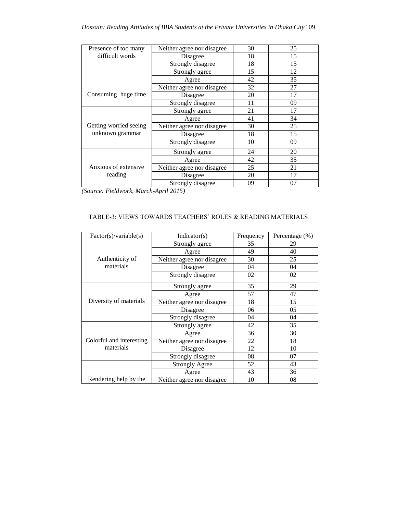| Presence of too many   | Neither agree nor disagree | 30 | 25 |
|------------------------|----------------------------|----|----|
| difficult words        | Disagree                   | 18 | 15 |
|                        | Strongly disagree          | 18 | 15 |
|                        | Strongly agree             | 15 | 12 |
|                        | Agree                      | 42 | 35 |
|                        | Neither agree nor disagree | 32 | 27 |
| Consuming huge time.   | Disagree                   | 20 | 17 |
|                        | Strongly disagree          | 11 | 09 |
|                        | Strongly agree             | 21 | 17 |
|                        | Agree                      | 41 | 34 |
| Getting worried seeing | Neither agree nor disagree | 30 | 25 |
| unknown grammar        | Disagree                   | 18 | 15 |
|                        | Strongly disagree          | 10 | 09 |
|                        | Strongly agree             | 24 | 20 |
|                        | Agree                      | 42 | 35 |
| Anxious of extensive   | Neither agree nor disagree | 25 | 21 |
| reading                | Disagree                   | 20 | 17 |
|                        | Strongly disagree          | 09 | 07 |

*(Source: Fieldwork, March-April 2015)*

# TABLE-3: VIEWS TOWARDS TEACHERS' ROLES & READING MATERIALS

| Factor(s)/variable(s)    | Indication(s)               | Frequency | Percentage (%) |
|--------------------------|-----------------------------|-----------|----------------|
|                          | Strongly agree              | 35        | 29             |
|                          | Agree                       | 49        | 40             |
| Authenticity of          | Neither agree nor disagree  | 30        | 25             |
| materials                | Disagree                    | 04        | 04             |
|                          | Strongly disagree           | 02        | 02             |
|                          | Strongly agree              | 35        | 29             |
|                          | Agree                       | 57        | 47             |
| Diversity of materials   | Neither agree nor disagree  | 18        | 15             |
|                          | Disagree                    | 06        | 05             |
|                          | Strongly disagree           | 04        | 04             |
|                          | Strongly agree              | 42        | 35             |
|                          | Agree                       | 36        | 30             |
| Colorful and interesting | Neither agree nor disagree  | 22        | 18             |
| materials                | Disagree                    | 12        | 10             |
|                          | Strongly disagree           | 08        | 07             |
|                          | <b>Strongly Agree</b>       | 52        | 43             |
|                          | Agree                       | 43        | 36             |
| Rendering help by the    | Neither agree nor disagree. | 10        | 08             |